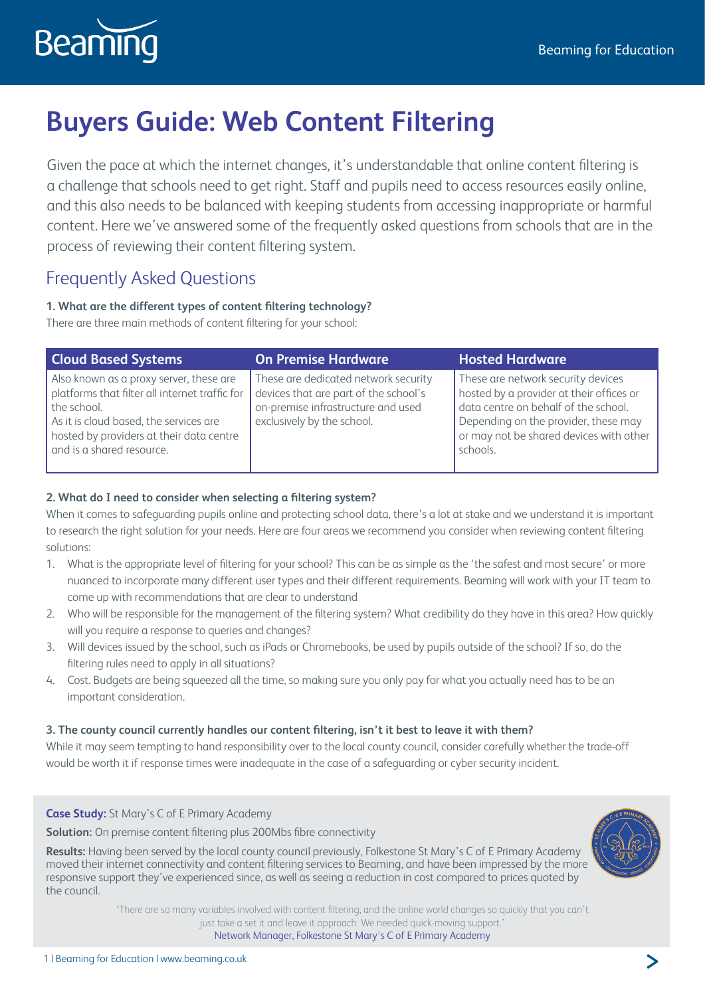

# **Buyers Guide: Web Content Filtering**

Given the pace at which the internet changes, it's understandable that online content filtering is a challenge that schools need to get right. Staff and pupils need to access resources easily online, and this also needs to be balanced with keeping students from accessing inappropriate or harmful content. Here we've answered some of the frequently asked questions from schools that are in the process of reviewing their content filtering system.

# Frequently Asked Questions

# **1. What are the different types of content filtering technology?**

There are three main methods of content filtering for your school:

| <b>Cloud Based Systems</b>                                                                                                                                                                                                  | <b>On Premise Hardware</b>                                                                                                                        | <b>Hosted Hardware</b>                                                                                                                                                                                                |
|-----------------------------------------------------------------------------------------------------------------------------------------------------------------------------------------------------------------------------|---------------------------------------------------------------------------------------------------------------------------------------------------|-----------------------------------------------------------------------------------------------------------------------------------------------------------------------------------------------------------------------|
| Also known as a proxy server, these are<br>platforms that filter all internet traffic for<br>the school.<br>As it is cloud based, the services are<br>hosted by providers at their data centre<br>and is a shared resource. | These are dedicated network security<br>devices that are part of the school's<br>on-premise infrastructure and used<br>exclusively by the school. | These are network security devices<br>hosted by a provider at their offices or<br>data centre on behalf of the school.<br>Depending on the provider, these may<br>or may not be shared devices with other<br>schools. |

# **2. What do I need to consider when selecting a filtering system?**

When it comes to safeguarding pupils online and protecting school data, there's a lot at stake and we understand it is important to research the right solution for your needs. Here are four areas we recommend you consider when reviewing content filtering solutions:

- 1. What is the appropriate level of filtering for your school? This can be as simple as the 'the safest and most secure' or more nuanced to incorporate many different user types and their different requirements. Beaming will work with your IT team to come up with recommendations that are clear to understand
- 2. Who will be responsible for the management of the filtering system? What credibility do they have in this area? How quickly will you require a response to queries and changes?
- 3. Will devices issued by the school, such as iPads or Chromebooks, be used by pupils outside of the school? If so, do the filtering rules need to apply in all situations?
- 4. Cost. Budgets are being squeezed all the time, so making sure you only pay for what you actually need has to be an important consideration.

# **3. The county council currently handles our content filtering, isn't it best to leave it with them?**

While it may seem tempting to hand responsibility over to the local county council, consider carefully whether the trade-off would be worth it if response times were inadequate in the case of a safeguarding or cyber security incident.

# **Case Study:** St Mary's C of E Primary Academy

**Solution:** On premise content filtering plus 200Mbs fibre connectivity

<span id="page-0-0"></span>**Results:** Having been served by the local county council previously, Folkestone St Mary's C of E Primary Academy moved their internet connectivity and content filtering services to Beaming, and have been impressed by the more responsive support they've experienced since, as well as seeing a reduction in cost compared to prices quoted by the council.



'There are so many variables involved with content filtering, and the online world changes so quickly that you can't just take a set it and leave it approach. We needed quick-moving support.' Network Manager, Folkestone St Mary's C of E Primary Academy